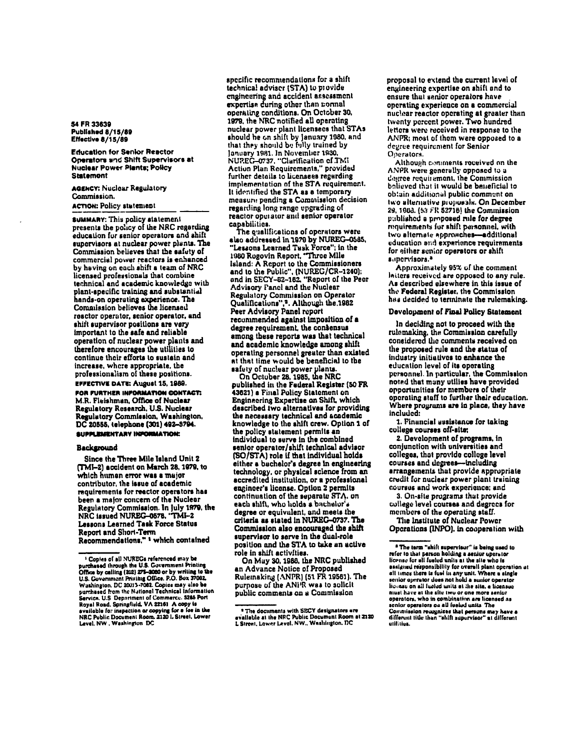54 FR 33639 Published 8/15/89 Effective 8/15/89

**Education for Senior Reactor** Operators and Shift Supervisors at **Nuclear Power Plants; Policy Statement** 

**AGENCY: Nuclear Regulatory** Commission. **ACTION: Policy statement** 

**SUMMARY:** This policy statement presents the policy of the NRC regarding education for senior operators and shift supervisors at nuclear power plants. The Commission believes that the safety of commercial power reactors is enhanced by having on each shift a team of NRC licensed professionals that combine technical and academic knowledge with plant-specific training and substantial hands-on operating experience. The Commission believes the licensed reactor operator, senior operator, and shift supervisor positions are very important to the safe and reliable operation of nuclear power plants and therefore encourages the utilities to continue their efforts to sustain and increase, where appropriate, the professionalism of these positions. **EFFECTIVE DATE: August 15, 1989.** 

FOR FURTHER INFORMATION CONTACT: M.R. Fleishman, Office of Nuclear Regulatory Research, U.S. Nuclear Regulatory Commission, Washington, DC 20555, telephone (301) 492-3794. SUPPLEMENTARY INPORMATION:

## Background

Since the Three Mile Island Unit 2 (TMI-2) accident on March 28, 1979, to which human error was a major contributor, the issue of academic requirements for reactor operators has been a major concern of the Nuclear Regulatory Commission. In July 1979, the NRC issued NUREG-0578, 'TMI-2 Lessons Learned Task Force Status Report and Short-Term Recommendations." <sup>1</sup> which contained

specific recommendations for a shift technical advisor (STA) to provide engineering and accident assessment expertise during other than normal operating conditions. On October 30, 1979, the NRC notified all operating nuclear power plant licensees that STAs should he on shift by January 1980, and that they should be fully truined by January 1981. In November 1930,<br>NUREG-0737, "Clarification of TMI Action Plan Requirements," provided further details to licensees regarding implementation of the STA requirement. It identified the STA as a temporary measure pending a Commission decision regarding long range upgrading of reactor operator and senior operator capabilities.

The qualifications of operators were also addressed in 1979 by NUREG-0585, "Lessons Learned Tusk Force"; in the 1980 Rogovin Report, "Three Mile Island: A Report to the Commissioners and to the Public", (NUREG/CR-1240);<br>and in SECY-82-182, "Report of the Peer Advisory Panel and the Nuclear Regulatory Commission on Operator Qualifications",<sup>2</sup>. Although the 1982 Peer Advisory Panel report recommended against imposition of a degree requirement, the consensus among these reports was that technical and academic knowledge among shift operating personnel greater than existed at that time would be beneficial to the

safety of nuclear power plants.<br>On Octuber 28, 1985, the NRC<br>published in the Federal Register (50 FR 43621) a Final Policy Statement on Engineering Expertise on Shift, which described two alternatives for providing the necessary technical and academic<br>knowledge to the shift crew. Option 1 of the policy statement permits an individual to serve in the combined senior operator/shift technical advisor (SO/STA) role if that individual holds either a bachelor's degree in engineering technology, or physical science from an accredited institution, or a professional engineer's license. Option 2 permits continuation of the separate STA, on each shift, who holds a bachelor's degree or equivalent, and meets the criteria as slated in NUREG-0737. The Commission also encouraged the shift supervisor to serve in the dual-role position and the STA to take an active role in shift activities.

On May 30, 1988, the NRC published an Advance Notice of Proposed Rulemaking (ANPR) (51 FR 19561). The purpose of the ANFR was to solicit public comments on a Commission

proposal to extend the current level of engineering expertise on shift and to ensure that senior operators have operating experience on a commercial nuclear reactor operating at greater than twenty percent power. Two hundred letters were received in response to the ANPR: most of them were opposed to a degree requirement for Senior Operators.

Although comments received on the ANPR were generally opposed to a degree requirement, the Commission bolieved that it would be beneficial to obtain additional public comment on two alternative proposals. On December 29, 1903. (53 FR 52718) the Commission published a proposed rule for degree requirements for shift personnel, with two alternate approaches-additional education and experience requirements for either senior operators or shift aupervisors.<sup>3</sup>

Approximately 95% of the comment latters received are opposed to any rule. As described elsewhere in this issue of the Federal Register, the Commission has decided to terminate the rulemaking.

## Development of Final Policy Statement

In deciding not to proceed with the rulemaking, the Commission carefully<br>considered the comments received on the proposed rule and the status of industry initiatives to enhance the education level of its operating personnel. In particular, the Commission noted that many utilies have provided opportunities for members of their operating staff to further their education. Where programs are in place, they have included:

1. Financial assistance for taking college courses off-site;

2. Development of programs, in conjunction with universities and colleges, that provide college level courses and degrees-including arrangements that provide appropriate credit for nuclear power plant training courses and work experience; and

3. On-site programs that provide college level courses and degrees for members of the operating staff.

The Institute of Nuclear Power Operations (INPO), in cooperation with

<sup>&</sup>lt;sup>1</sup> Copies of all NUREGs referenced may be purchased through the U.S. Covernment Printing<br>Office by calling (202) 275-2000 or by writing to the<br>U.S. Covernment Printing Office. P.O. Box 37092. U.S. Copies may show the process river of the particle of the particle of the particle of the particle of the particle of the particle of the particle of the particle of the particle of the particle of the particle of the a system of the interpretation of copying for a forein the<br>NRC Public Document Room, 2120 I, Street, Lower<br>Level, NW , Washington DC

<sup>&</sup>lt;sup>8</sup> The documents with SECY designators are<br>svailable at the NRC Public Document Room at 2120<br>L Street, Lower Level, NW., Washington, DC

<sup>&</sup>lt;sup>a</sup> The term "shift supervisor" is being used to refer to that person holding a senior operator license for all fueled units at the site who is essigned responsibility for overall plant operation at all times there is fuel in any unit. Where a single senior operator does not hold a sunior operator liconse on all fueled units at the site, a licensue niust have at the site two or one more senior<br>operators, who in combination are licensed as nior operators on all fueled units. The Commission recognizes that persons may have a<br>different title than "shift supervisor" at different utilities.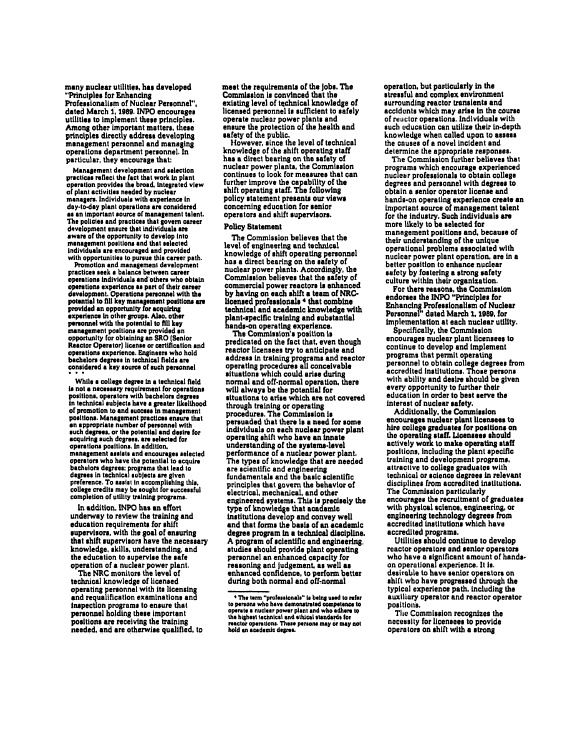many nuclear utilities, has developed "Principles for Enhancing Professionalism of Nuclear Personnel", dated March 1, 1989. INPO encourages utilities to implement these principles. Among other important matters, these principles directly address developing management personnel and managing operations department personnel. In particular, they encourage that:

Management development and selection practices reflect the fact that work in plant operation provides the broad, integrated view of plant activities needed by nuclear managers. Individuals with experience in day-to-day plant operations are considered as an important source of management talent. The policies and practices that govern career<br>development ensure that individuals are aware of the opportunity to develop into management positions and that selected individuals are encouraged and provided with opportunities to pursue this career path.

Promotion and management development practices seek a balance between career operations individuals and others who obtain operations experience as part of their career<br>development. Operations personnel with the potential to fill key management positions are experience in other groups. Also, other personnel with the potential to fill key management positions are provided an opportunity for obtaining an SRO (Senior Reactor Operator) license or certification and operations experience. Engineers who hold bachelors degrees in technical fields are considered a key source of such personnel

While a college degree in a technical field is not a necessary requirement for operations<br>positions, operators with bachelors degrees in technical subjects have a greater likelihood of promotion to and success in management positions. Management practices ensure that en appropriate number of personnel with such degrees, or the potential and desire for acquiring such degrees, are selected for operations positions. In addition. management assists and encourages selected operators who have the potential to acquire bachelors degrees; programs that lead to degrees in technical subjects are given preference. To assist in accomplishing this, college credits may be sought for successful completion of utility training programs.

In addition, INPO has an effort underway to review the training and education requirements for shift supervisors, with the goal of ensuring that shift supervisors have the necessary knowledge, skills, understanding, and the education to supervise the safe operation of a nuclear power plant.

The NRC monitors the level of technical knowledge of licensed operating personnel with its licensing and requalification examinations and inspection programs to ensure that personnel holding these important positions are receiving the training needed, and are otherwise qualified, to meet the requirements of the jobs. The Commission is convinced that the existing level of technical knowledge of licensed personnel is sufficient to safely operate nuclear power plants and ensure the protection of the health and safety of the public.

However, since the level of technical knowledge of the shift operating staff has a direct bearing on the safety of nuclear power plants, the Commission continues to look for measures that can further improve the capability of the shift operating staff. The following policy statement presents our views concerning education for senior operators and shift supervisors.

## **Policy Statement**

The Commission believes that the level of engineering and technical knowledge of shift operating personnel has a direct bearing on the safety of nuclear power plants. Accordingly, the Commission believes that the safety of commercial power reactors is enhanced by having on each shift a team of NRClicensed professionals 4 that combine technical and academic knowledge with plant-specific training and substantial hands-on operating experience.

The Commission's position is predicated on the fact that, even though reactor licensees try to anticipate and address in training programs and reactor operating procedures all conceivable situations which could arise during normal and off-normal operation, there will always be the potential for situations to arise which are not covered through training or operating procedures. The Commission is persuaded that there is a need for some individuals on each nuclear power plant operating shift who have an innate understanding of the systems-level performance of a nuclear power plant. The types of knowledge that are needed are scientific and engineering fundamentals and the basic scientific principles that govern the behavior of electrical, mechanical, and other engineered systems. This is precisely the type of knowledge that academic institutions develop and convey well and that forms the basis of an academic degree program in a technical discipline. A program of scientific and engineering. studies should provide plant operating personnel an enhanced capacity for reasoning and judgement, as well as enhanced confidence, to perform better during both normal and off-normal

operation, but particularly in the stressful and complex environment surrounding reactor transients and accidents which may arise in the course of reactor operations. Individuals with such education can utilize their in-depth knowledge when called upon to assess the causes of a novel incident and determine the appropriate responses.

The Commission further believes that programs which encourage experienced nuclear professionals to obtain college degrees and personnel with degrees to obtain a senior operator license and hands-on operating experience create an important source of management talent for the industry. Such individuals are more likely to be selected for management positions and, because of their understanding of the unique operational problems associated with nuclear power plant operation, are in a better position to enhance nuclear safety by fostering a strong safety culture within their organization.

For there reasons, the Commission endorses the INPO "Principles for Enhancing Professionalism of Nuclear<br>Personnel" dated March 1, 1989, for implementation at each nuclear utility.

Specifically, the Commission encourages nuclear plant licensees to continue to develop and implement programs that permit operating personnel to obtain college degrees from accredited institutions. Those persons with ability and desire should be given every opportunity to further their education in order to best serve the interest of nuclear safety.

Additionally, the Commission encourages nuclear plant licensees to hire college graduates for positions on the operating staff. Licensees should<br>actively work to make operating staff positions, including the plant specific training and development programs. attractive to college graduates with technical or science degrees in relevant disciplines from accredited institutions. The Commission particularly encourages the recruitment of graduates with physical science, engineering, or engineering technology degrees from accredited institutions which have accredited programs.

Utilities should continue to develop reactor operators and senior operators who have a significant amount of handson operational experience. It is. desirable to have senior operators on shift who have progressed through the typical experience path. including the auxiliary operator and reactor operator positions.

The Commission recognizes the necessity for licensees to provide operators on shift with a strong

<sup>&</sup>lt;sup>4</sup> The term "professionals" is being used to refer<br>to persons who have demonstrated competence to operate a nuclear power plant and who adhere to the highest technical and ethical standards for reactor operations. These persons may or may not hold an academic degree.